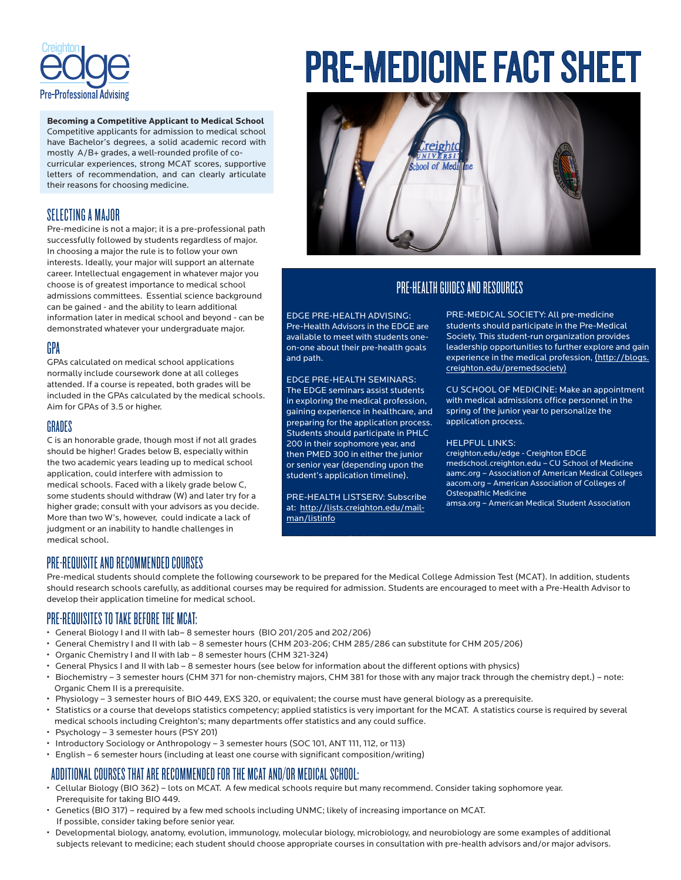

**Becoming a Competitive Applicant to Medical School**  Competitive applicants for admission to medical school have Bachelor's degrees, a solid academic record with mostly A/B+ grades, a well-rounded profile of cocurricular experiences, strong MCAT scores, supportive letters of recommendation, and can clearly articulate their reasons for choosing medicine.

## SELECTING A MAJOR

Pre-medicine is not a major; it is a pre-professional path successfully followed by students regardless of major. In choosing a major the rule is to follow your own interests. Ideally, your major will support an alternate career. Intellectual engagement in whatever major you choose is of greatest importance to medical school admissions committees. Essential science background can be gained - and the ability to learn additional information later in medical school and beyond - can be demonstrated whatever your undergraduate major.

## GPA

GPAs calculated on medical school applications normally include coursework done at all colleges attended. If a course is repeated, both grades will be included in the GPAs calculated by the medical schools. Aim for GPAs of 3.5 or higher.

### GRADES

C is an honorable grade, though most if not all grades should be higher! Grades below B, especially within the two academic years leading up to medical school application, could interfere with admission to medical schools. Faced with a likely grade below C, some students should withdraw (W) and later try for a higher grade; consult with your advisors as you decide. More than two W's, however, could indicate a lack of judgment or an inability to handle challenges in medical school.

# PRE-MEDICINE FACT SHEET



## PRE-HEALTH GUIDES AND RESOURCES

EDGE PRE-HEALTH ADVISING: Pre-Health Advisors in the EDGE are available to meet with students oneon-one about their pre-health goals and path.

EDGE PRE-HEALTH SEMINARS: The EDGE seminars assist students in exploring the medical profession, gaining experience in healthcare, and preparing for the application process. Students should participate in PHLC 200 in their sophomore year, and then PMED 300 in either the junior or senior year (depending upon the student's application timeline).

PRE-HEALTH LISTSERV: Subscribe at: http://lists.creighton.edu/mailman/listinfo

PRE-MEDICAL SOCIETY: All pre-medicine students should participate in the Pre-Medical Society. This student-run organization provides leadership opportunities to further explore and gain experience in the medical profession, (http://blogs. creighton.edu/premedsociety)

CU SCHOOL OF MEDICINE: Make an appointment with medical admissions office personnel in the spring of the junior year to personalize the application process.

#### HELPFUL LINKS:

creighton.edu/edge - Creighton EDGE medschool.creighton.edu – CU School of Medicine aamc.org – Association of American Medical Colleges aacom.org – American Association of Colleges of Osteopathic Medicine

amsa.org – American Medical Student Association

## PRE-REQUISITE AND RECOMMENDED COURSES

Pre-medical students should complete the following coursework to be prepared for the Medical College Admission Test (MCAT). In addition, students should research schools carefully, as additional courses may be required for admission. Students are encouraged to meet with a Pre-Health Advisor to develop their application timeline for medical school.

PRE-MEDICAL SOCIETY: All

## PRE-REQUISITES TO TAKE BEFORE THE MCAT:

- General Biology I and II with lab– 8 semester hours (BIO 201/205 and 202/206)
- General Chemistry I and II with lab 8 semester hours (CHM 203-206; CHM 285/286 can substitute for CHM 205/206)
- Organic Chemistry I and II with lab 8 semester hours (CHM 321-324)
- General Physics I and II with lab 8 semester hours (see below for information about the different options with physics)
- Biochemistry 3 semester hours (CHM 371 for non-chemistry majors, CHM 381 for those with any major track through the chemistry dept.) note: Organic Chem II is a prerequisite.
- Physiology 3 semester hours of BIO 449, EXS 320, or equivalent; the course must have general biology as a prerequisite.
- Statistics or a course that develops statistics competency; applied statistics is very important for the MCAT. A statistics course is required by several medical schools including Creighton's; many departments offer statistics and any could suffice.
- Psychology 3 semester hours (PSY 201)
- Introductory Sociology or Anthropology 3 semester hours (SOC 101, ANT 111, 112, or 113)
- English 6 semester hours (including at least one course with significant composition/writing)

# ADDITIONAL COURSES THAT ARE RECOMMENDED FOR THE MCAT AND/OR MEDICAL SCHOOL:

- Cellular Biology (BIO 362) lots on MCAT. A few medical schools require but many recommend. Consider taking sophomore year. Prerequisite for taking BIO 449.
- Genetics (BIO 317) required by a few med schools including UNMC; likely of increasing importance on MCAT. If possible, consider taking before senior year.
- Developmental biology, anatomy, evolution, immunology, molecular biology, microbiology, and neurobiology are some examples of additional subjects relevant to medicine; each student should choose appropriate courses in consultation with pre-health advisors and/or major advisors.